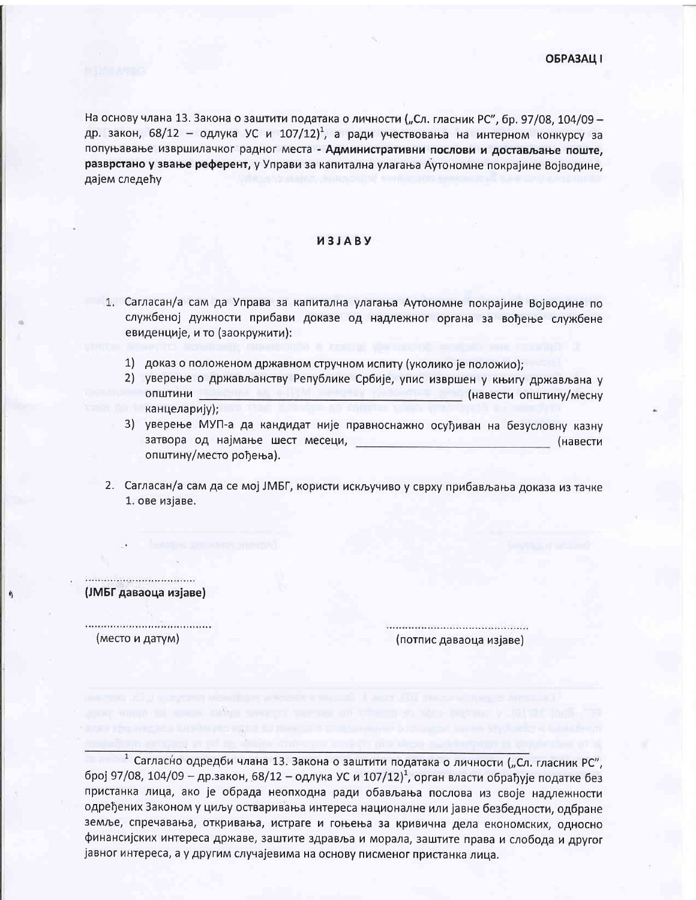На основу члана 13. Закона о заштити података о личности ("Сл. гласник РС", бр. 97/08, 104/09 др. закон, 68/12 - одлука УС и 107/12)<sup>1</sup>, а ради учествовања на интерном конкурсу за попуњавање извршилачког радног места - Административни послови и достављање поште. разврстано у звање референт, у Управи за капитална улагања Аутономне покрајине Војводине. дајем следећу

## *M3JABY*

- 1. Сагласан/а сам да Управа за капитална улагања Аутономне покрајине Војводине по службеној дужности прибави доказе од надлежног органа за вођење службене евиденције, и то (заокружити):
	- 1) доказ о положеном државном стручном испиту (уколико је положио);
	- 2) уверење о држављанству Републике Србије, упис извршен у књигу држављана у **ОПШТИНИ** (навести општину/месну канцеларију);
	- 3) уверење МУП-а да кандидат није правноснажно осуђиван на безусловну казну затвора од најмање шест месеци, по податно на применени (навести општину/место рођења).
- 2. Сагласан/а сам да се мој ЈМБГ, користи искључиво у сврху прибављања доказа из тачке 1. ове изјаве.

(ЈМБГ даваоца изјаве)

..................................... (место и датум)

................................. (потпис даваоца изјаве)

1 Сагласно одредби члана 13. Закона о заштити података о личности ("Сл. гласник РС", број 97/08, 104/09 - др.закон, 68/12 - одлука УС и 107/12)<sup>1</sup>, орган власти обрађује податке без пристанка лица, ако је обрада неопходна ради обављања послова из своје надлежности одређених Законом у циљу остваривања интереса националне или јавне безбедности, одбране земље, спречавања, откривања, истраге и гоњења за кривична дела економских, односно финансијских интереса државе, заштите здравља и морала, заштите права и слобода и другог јавног интереса, а у другим случајевима на основу писменог пристанка лица.